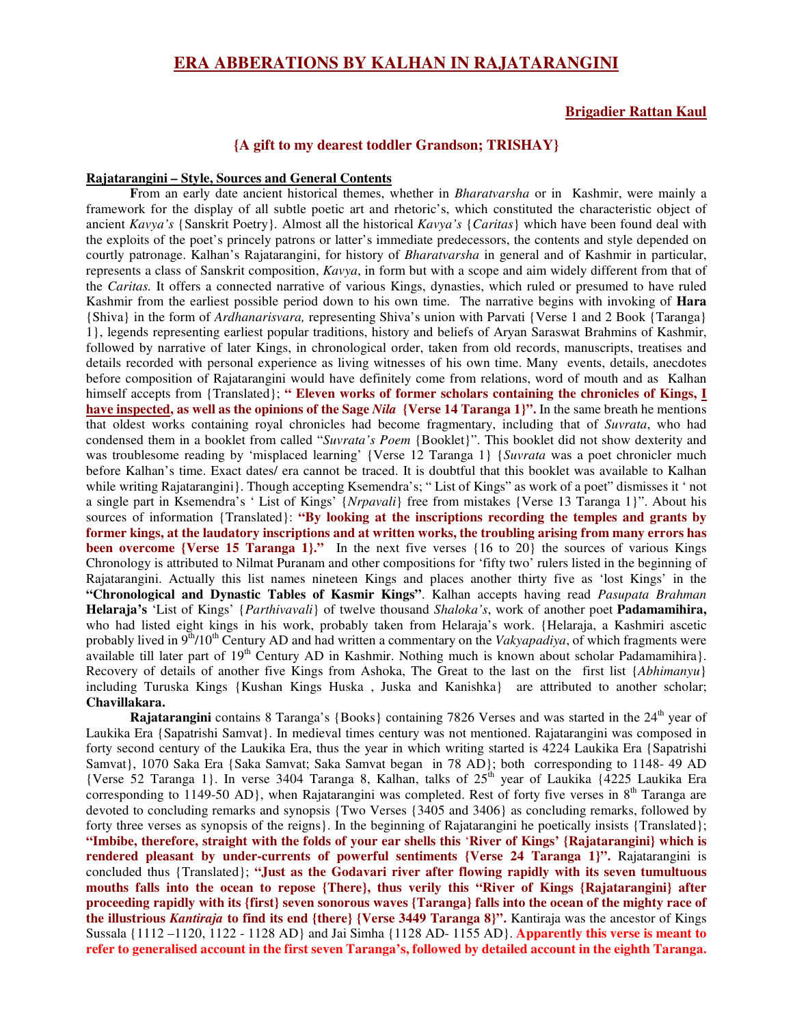# **ERA ABBERATIONS BY KALHAN IN RAJATARANGINI**

# **Brigadier Rattan Kaul**

# **{A gift to my dearest toddler Grandson; TRISHAY}**

### **Rajatarangini – Style, Sources and General Contents**

**F**rom an early date ancient historical themes, whether in *Bharatvarsha* or in Kashmir, were mainly a framework for the display of all subtle poetic art and rhetoric's, which constituted the characteristic object of ancient *Kavya's* {Sanskrit Poetry}*.* Almost all the historical *Kavya's* {*Caritas*} which have been found deal with the exploits of the poet's princely patrons or latter's immediate predecessors, the contents and style depended on courtly patronage. Kalhan's Rajatarangini, for history of *Bharatvarsha* in general and of Kashmir in particular, represents a class of Sanskrit composition, *Kavya*, in form but with a scope and aim widely different from that of the *Caritas.* It offers a connected narrative of various Kings, dynasties, which ruled or presumed to have ruled Kashmir from the earliest possible period down to his own time. The narrative begins with invoking of **Hara** {Shiva} in the form of *Ardhanarisvara,* representing Shiva's union with Parvati {Verse 1 and 2 Book {Taranga} 1}, legends representing earliest popular traditions, history and beliefs of Aryan Saraswat Brahmins of Kashmir, followed by narrative of later Kings, in chronological order, taken from old records, manuscripts, treatises and details recorded with personal experience as living witnesses of his own time. Many events, details, anecdotes before composition of Rajatarangini would have definitely come from relations, word of mouth and as Kalhan himself accepts from {Translated}; **" Eleven works of former scholars containing the chronicles of Kings, I have inspected, as well as the opinions of the Sage** *Nila* **{Verse 14 Taranga 1}".** In the same breath he mentions that oldest works containing royal chronicles had become fragmentary, including that of *Suvrata*, who had condensed them in a booklet from called "*Suvrata's Poem* {Booklet}". This booklet did not show dexterity and was troublesome reading by 'misplaced learning' {Verse 12 Taranga 1} {*Suvrata* was a poet chronicler much before Kalhan's time. Exact dates/ era cannot be traced. It is doubtful that this booklet was available to Kalhan while writing Rajatarangini}. Though accepting Ksemendra's; "List of Kings" as work of a poet" dismisses it ' not a single part in Ksemendra's ' List of Kings' {*Nrpavali*} free from mistakes {Verse 13 Taranga 1}". About his sources of information {Translated}: **"By looking at the inscriptions recording the temples and grants by** former kings, at the laudatory inscriptions and at written works, the troubling arising from many errors has **been overcome {Verse 15 Taranga 1}."** In the next five verses {16 to 20} the sources of various Kings Chronology is attributed to Nilmat Puranam and other compositions for 'fifty two' rulers listed in the beginning of Rajatarangini. Actually this list names nineteen Kings and places another thirty five as 'lost Kings' in the **"Chronological and Dynastic Tables of Kasmir Kings"**. Kalhan accepts having read *Pasupata Brahman* **Helaraja's** 'List of Kings' {*Parthivavali*} of twelve thousand *Shaloka's*, work of another poet **Padamamihira,** who had listed eight kings in his work, probably taken from Helaraja's work. {Helaraja, a Kashmiri ascetic probably lived in 9<sup>th</sup>/10<sup>th</sup> Century AD and had written a commentary on the *Vakyapadiya*, of which fragments were available till later part of 19<sup>th</sup> Century AD in Kashmir. Nothing much is known about scholar Padamamihira}. Recovery of details of another five Kings from Ashoka, The Great to the last on the first list {*Abhimanyu*} including Turuska Kings {Kushan Kings Huska , Juska and Kanishka} are attributed to another scholar; **Chavillakara.**

Rajatarangini contains 8 Taranga's {Books} containing 7826 Verses and was started in the 24<sup>th</sup> year of Laukika Era {Sapatrishi Samvat}. In medieval times century was not mentioned. Rajatarangini was composed in forty second century of the Laukika Era, thus the year in which writing started is 4224 Laukika Era {Sapatrishi Samvat}, 1070 Saka Era {Saka Samvat; Saka Samvat began in 78 AD}; both corresponding to 1148- 49 AD {Verse 52 Taranga 1}. In verse 3404 Taranga 8, Kalhan, talks of 25<sup>th</sup> year of Laukika {4225 Laukika Era corresponding to 1149-50 AD}, when Rajatarangini was completed. Rest of forty five verses in 8<sup>th</sup> Taranga are devoted to concluding remarks and synopsis {Two Verses {3405 and 3406} as concluding remarks, followed by forty three verses as synopsis of the reigns}. In the beginning of Rajatarangini he poetically insists {Translated}; "Imbibe, therefore, straight with the folds of your ear shells this 'River of Kings' {Rajatarangini} which is **rendered pleasant by under-currents of powerful sentiments {Verse 24 Taranga 1}".** Rajatarangini is concluded thus {Translated}; **"Just as the Godavari river after flowing rapidly with its seven tumultuous mouths falls into the ocean to repose {There}, thus verily this "River of Kings {Rajatarangini} after** proceeding rapidly with its {first} seven sonorous waves {Taranga} falls into the ocean of the mighty race of **the illustrious** *Kantiraja* **to find its end {there} {Verse 3449 Taranga 8}".** Kantiraja was the ancestor of Kings Sussala {1112 –1120, 1122 - 1128 AD} and Jai Simha {1128 AD- 1155 AD}. **Apparently this verse is meant to** refer to generalised account in the first seven Taranga's, followed by detailed account in the eighth Taranga.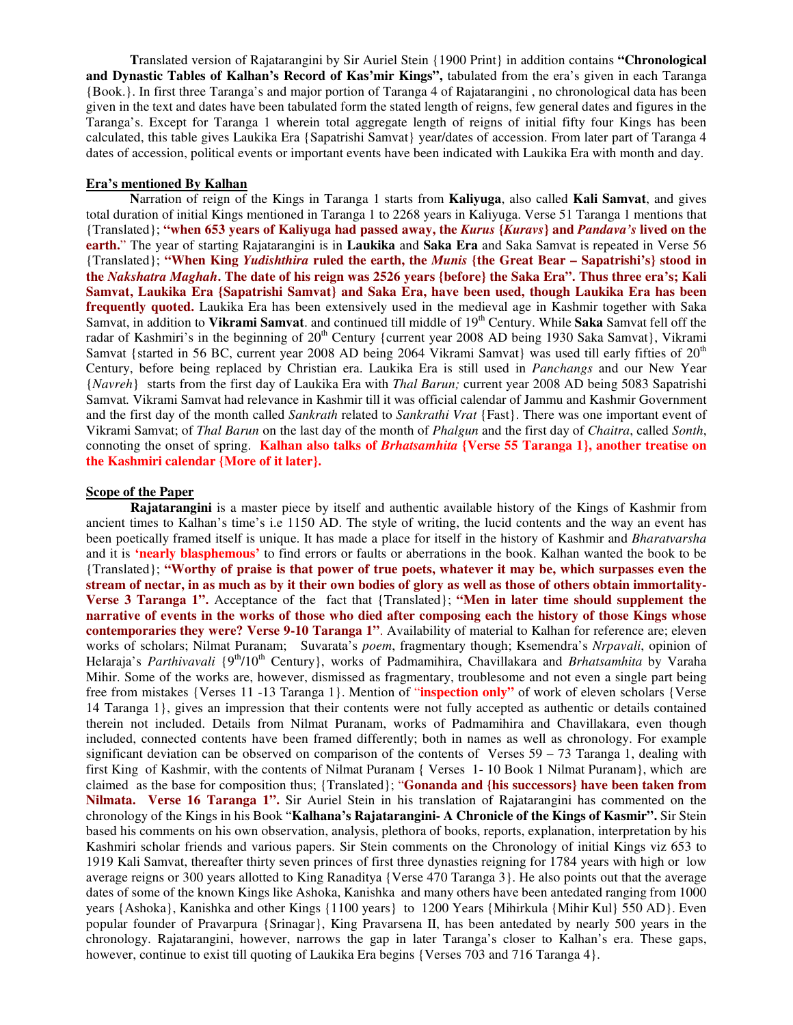**T**ranslated version of Rajatarangini by Sir Auriel Stein {1900 Print} in addition contains **"Chronological and Dynastic Tables of Kalhan's Record of Kas'mir Kings",** tabulated from the era's given in each Taranga {Book.}. In first three Taranga's and major portion of Taranga 4 of Rajatarangini , no chronological data has been given in the text and dates have been tabulated form the stated length of reigns, few general dates and figures in the Taranga's. Except for Taranga 1 wherein total aggregate length of reigns of initial fifty four Kings has been calculated, this table gives Laukika Era {Sapatrishi Samvat} year/dates of accession. From later part of Taranga 4 dates of accession, political events or important events have been indicated with Laukika Era with month and day.

# **Era's mentioned By Kalhan**

**N**arration of reign of the Kings in Taranga 1 starts from **Kaliyuga**, also called **Kali Samvat**, and gives total duration of initial Kings mentioned in Taranga 1 to 2268 years in Kaliyuga. Verse 51 Taranga 1 mentions that {Translated}; "when 653 years of Kaliyuga had passed away, the Kurus {Kuravs} and Pandava's lived on the **earth.**" The year of starting Rajatarangini is in **Laukika** and **Saka Era** and Saka Samvat is repeated in Verse 56 {Translated}; **"When King** *Yudishthira* **ruled the earth, the** *Munis* **{the Great Bear – Sapatrishi's} stood in** the Nakshatra Maghah. The date of his reign was 2526 years {before} the Saka Era". Thus three era's; Kali **Samvat, Laukika Era {Sapatrishi Samvat} and Saka Era, have been used, though Laukika Era has been frequently quoted.** Laukika Era has been extensively used in the medieval age in Kashmir together with Saka Samvat, in addition to Vikrami Samvat. and continued till middle of 19<sup>th</sup> Century. While Saka Samvat fell off the radar of Kashmiri's in the beginning of 20<sup>th</sup> Century {current year 2008 AD being 1930 Saka Samvat}, Vikrami Samvat {started in 56 BC, current year 2008 AD being 2064 Vikrami Samvat} was used till early fifties of 20<sup>th</sup> Century, before being replaced by Christian era. Laukika Era is still used in *Panchangs* and our New Year {*Navreh*} starts from the first day of Laukika Era with *Thal Barun;* current year 2008 AD being 5083 Sapatrishi Samvat*.* Vikrami Samvat had relevance in Kashmir till it was official calendar of Jammu and Kashmir Government and the first day of the month called *Sankrath* related to *Sankrathi Vrat* {Fast}. There was one important event of Vikrami Samvat; of *Thal Barun* on the last day of the month of *Phalgun* and the first day of *Chaitra*, called *Sonth*, connoting the onset of spring. **Kalhan also talks of** *Brhatsamhita* **{Verse 55 Taranga 1}, another treatise on the Kashmiri calendar {More of it later}.**

# **Scope of the Paper**

**Rajatarangini** is a master piece by itself and authentic available history of the Kings of Kashmir from ancient times to Kalhan's time's i.e 1150 AD. The style of writing, the lucid contents and the way an event has been poetically framed itself is unique. It has made a place for itself in the history of Kashmir and *Bharatvarsha* and it is **'nearly blasphemous'** to find errors or faults or aberrations in the book. Kalhan wanted the book to be {Translated}; **"Worthy of praise is that power of true poets, whatever it may be, which surpasses even the** stream of nectar, in as much as by it their own bodies of glory as well as those of others obtain immortality-**Verse 3 Taranga 1".** Acceptance of the fact that {Translated}; **"Men in later time should supplement the** narrative of events in the works of those who died after composing each the history of those Kings whose **contemporaries they were? Verse 9-10 Taranga 1"**. Availability of material to Kalhan for reference are; eleven works of scholars; Nilmat Puranam; Suvarata's *poem*, fragmentary though; Ksemendra's *Nrpavali*, opinion of Helaraja's *Parthivavali* {9<sup>th</sup>/10<sup>th</sup> Century}, works of Padmamihira, Chavillakara and *Brhatsamhita* by Varaha Mihir. Some of the works are, however, dismissed as fragmentary, troublesome and not even a single part being free from mistakes {Verses 11 -13 Taranga 1}. Mention of "**inspection only"** of work of eleven scholars {Verse 14 Taranga 1}, gives an impression that their contents were not fully accepted as authentic or details contained therein not included. Details from Nilmat Puranam, works of Padmamihira and Chavillakara, even though included, connected contents have been framed differently; both in names as well as chronology. For example significant deviation can be observed on comparison of the contents of Verses  $59 - 73$  Taranga 1, dealing with first King of Kashmir, with the contents of Nilmat Puranam { Verses 1- 10 Book 1 Nilmat Puranam}, which are claimed as the base for composition thus; {Translated}; "**Gonanda and {his successors} have been taken from Nilmata. Verse 16 Taranga 1".** Sir Auriel Stein in his translation of Rajatarangini has commented on the chronology of the Kings in his Book "**Kalhana's Rajatarangini- A Chronicle of the Kings of Kasmir".** Sir Stein based his comments on his own observation, analysis, plethora of books, reports, explanation, interpretation by his Kashmiri scholar friends and various papers. Sir Stein comments on the Chronology of initial Kings viz 653 to 1919 Kali Samvat, thereafter thirty seven princes of first three dynasties reigning for 1784 years with high or low average reigns or 300 years allotted to King Ranaditya {Verse 470 Taranga 3}. He also points out that the average dates of some of the known Kings like Ashoka, Kanishka and many others have been antedated ranging from 1000 years {Ashoka}, Kanishka and other Kings {1100 years} to 1200 Years {Mihirkula {Mihir Kul} 550 AD}. Even popular founder of Pravarpura {Srinagar}, King Pravarsena II, has been antedated by nearly 500 years in the chronology. Rajatarangini, however, narrows the gap in later Taranga's closer to Kalhan's era. These gaps, however, continue to exist till quoting of Laukika Era begins {Verses 703 and 716 Taranga 4}.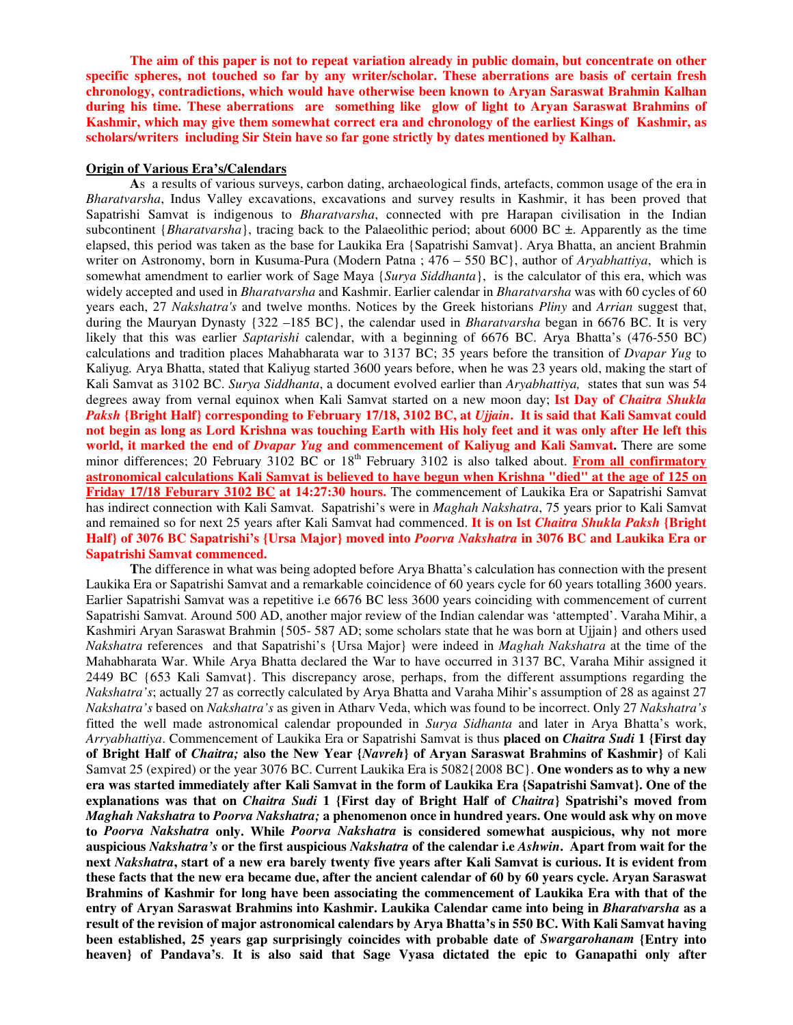The aim of this paper is not to repeat variation already in public domain, but concentrate on other **specific spheres, not touched so far by any writer/scholar. These aberrations are basis of certain fresh chronology, contradictions, which would have otherwise been known to Aryan Saraswat Brahmin Kalhan during his time. These aberrations are something like glow of light to Aryan Saraswat Brahmins of Kashmir, which may give them somewhat correct era and chronology of the earliest Kings of Kashmir, as scholars/writers including Sir Stein have so far gone strictly by dates mentioned by Kalhan.**

#### **Origin of Various Era's/Calendars**

**A**s a results of various surveys, carbon dating, archaeological finds, artefacts, common usage of the era in *Bharatvarsha*, Indus Valley excavations, excavations and survey results in Kashmir, it has been proved that Sapatrishi Samvat is indigenous to *Bharatvarsha*, connected with pre Harapan civilisation in the Indian subcontinent {*Bharatvarsha*}, tracing back to the Palaeolithic period; about 6000 BC ±. Apparently as the time elapsed, this period was taken as the base for Laukika Era {Sapatrishi Samvat}. Arya Bhatta, an ancient Brahmin writer on Astronomy, born in Kusuma-Pura (Modern Patna ; 476 – 550 BC}, author of *Aryabhattiya*, which is somewhat amendment to earlier work of Sage Maya {*Surya Siddhanta*}, is the calculator of this era, which was widely accepted and used in *Bharatvarsha* and Kashmir. Earlier calendar in *Bharatvarsha* was with 60 cycles of 60 years each, 27 *Nakshatra's* and twelve months. Notices by the Greek historians *Pliny* and *Arrian* suggest that, during the Mauryan Dynasty {322 –185 BC}, the calendar used in *Bharatvarsha* began in 6676 BC. It is very likely that this was earlier *Saptarishi* calendar, with a beginning of 6676 BC. Arya Bhatta's (476-550 BC) calculations and tradition places Mahabharata war to 3137 BC; 35 years before the transition of *Dvapar Yug* to Kaliyug*.* Arya Bhatta, stated that Kaliyug started 3600 years before, when he was 23 years old, making the start of Kali Samvat as 3102 BC. *Surya Siddhanta*, a document evolved earlier than *Aryabhattiya,* states that sun was 54 degrees away from vernal equinox when Kali Samvat started on a new moon day; **Ist Day of** *Chaitra Shukla* Paksh {Bright Half} corresponding to February 17/18, 3102 BC, at *Ujjain*. It is said that Kali Samvat could not begin as long as Lord Krishna was touching Earth with His holy feet and it was only after He left this **world, it marked the end of** *Dvapar Yug* **and commencement of Kaliyug and Kali Samvat.** There are some minor differences; 20 February 3102 BC or 18<sup>th</sup> February 3102 is also talked about. **From all confirmatory** astronomical calculations Kali Samvat is believed to have begun when Krishna "died" at the age of 125 on **Friday 17/18 Feburary 3102 BC at 14:27:30 hours.** The commencement of Laukika Era or Sapatrishi Samvat has indirect connection with Kali Samvat. Sapatrishi's were in *Maghah Nakshatra*, 75 years prior to Kali Samvat and remained so for next 25 years after Kali Samvat had commenced. **It is on Ist** *Chaitra Shukla Paksh* **{Bright** Half} of 3076 BC Sapatrishi's {Ursa Major} moved into *Poorva Nakshatra* in 3076 BC and Laukika Era or **Sapatrishi Samvat commenced.**

**T**he difference in what was being adopted before Arya Bhatta's calculation has connection with the present Laukika Era or Sapatrishi Samvat and a remarkable coincidence of 60 years cycle for 60 years totalling 3600 years. Earlier Sapatrishi Samvat was a repetitive i.e 6676 BC less 3600 years coinciding with commencement of current Sapatrishi Samvat. Around 500 AD, another major review of the Indian calendar was 'attempted'. Varaha Mihir, a Kashmiri Aryan Saraswat Brahmin {505- 587 AD; some scholars state that he was born at Ujjain} and others used *Nakshatra* references and that Sapatrishi's {Ursa Major} were indeed in *Maghah Nakshatra* at the time of the Mahabharata War. While Arya Bhatta declared the War to have occurred in 3137 BC, Varaha Mihir assigned it 2449 BC {653 Kali Samvat}. This discrepancy arose, perhaps, from the different assumptions regarding the *Nakshatra's*; actually 27 as correctly calculated by Arya Bhatta and Varaha Mihir's assumption of 28 as against 27 *Nakshatra's* based on *Nakshatra's* as given in Atharv Veda, which was found to be incorrect. Only 27 *Nakshatra's* fitted the well made astronomical calendar propounded in *Surya Sidhanta* and later in Arya Bhatta's work, *Arryabhattiya*. Commencement of Laukika Era or Sapatrishi Samvat is thus **placed on** *Chaitra Sudi* **1 {First day** of Bright Half of Chaitra; also the New Year {Navreh} of Aryan Saraswat Brahmins of Kashmir} of Kali Samvat 25 (expired) or the year 3076 BC. Current Laukika Era is 5082{2008 BC}. **One wonders as to why a new** era was started immediately after Kali Samvat in the form of Laukika Era {Sapatrishi Samvat}. One of the explanations was that on *Chaitra Sudi* 1 {First day of Bright Half of *Chaitra*} Spatrishi's moved from *Maghah Nakshatra* **to** *Poorva Nakshatra;* **a phenomenon once in hundred years. One would ask why on move to** *Poorva Nakshatra* **only. While** *Poorva Nakshatra* **is considered somewhat auspicious, why not more** auspicious Nakshatra's or the first auspicious Nakshatra of the calendar i.e Ashwin. Apart from wait for the next Nakshatra, start of a new era barely twenty five years after Kali Samvat is curious. It is evident from these facts that the new era became due, after the ancient calendar of 60 by 60 years cycle. Arvan Saraswat **Brahmins of Kashmir for long have been associating the commencement of Laukika Era with that of the entry of Aryan Saraswat Brahmins into Kashmir. Laukika Calendar came into being in** *Bharatvarsha* **as a** result of the revision of major astronomical calendars by Arya Bhatta's in 550 BC. With Kali Samvat having **been established, 25 years gap surprisingly coincides with probable date of** *Swargarohanam* **{Entry into heaven} of Pandava's**. **It is also said that Sage Vyasa dictated the epic to Ganapathi only after**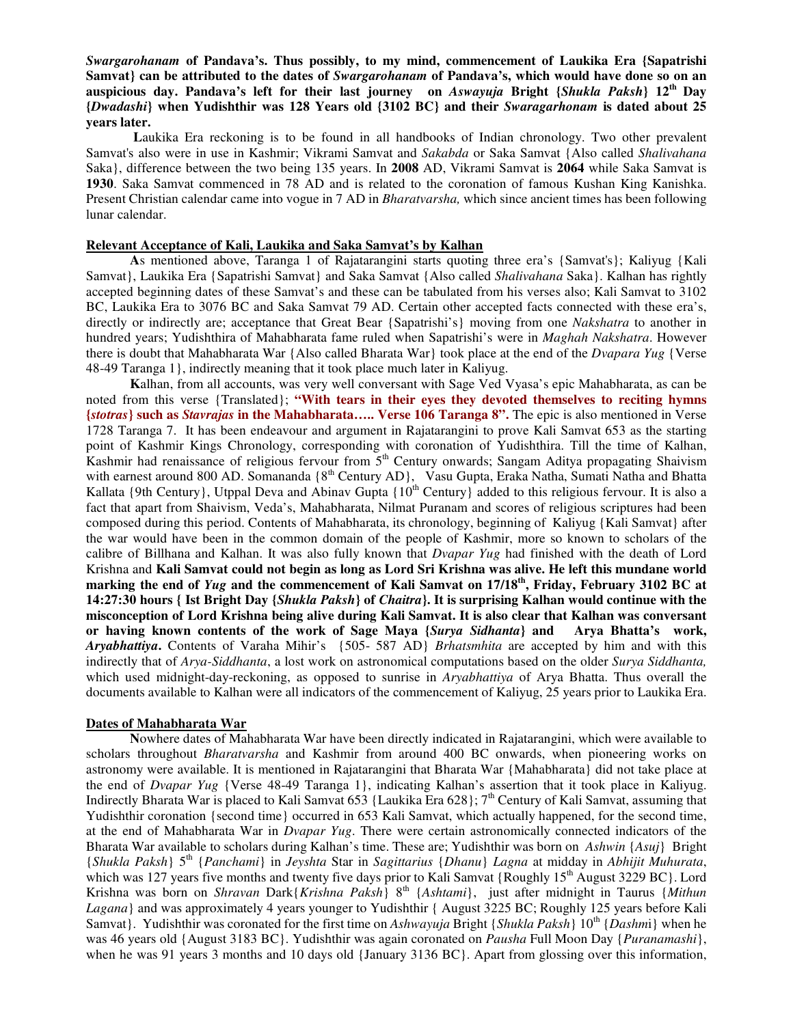*Swargarohanam* **of Pandava's. Thus possibly, to my mind, commencement of Laukika Era {Sapatrishi** Samvat} can be attributed to the dates of Swargarohanam of Pandava's, which would have done so on an **auspicious day. Pandava's left for their last journey on** *Aswayuja* **Bright {***Shukla Paksh***} 12 th Day {***Dwadashi***} when Yudishthir was 128 Years old {3102 BC} and their** *Swaragarhonam* **is dated about 25 years later.**

**L**aukika Era reckoning is to be found in all handbooks of Indian chronology. Two other prevalent Samvat's also were in use in Kashmir; Vikrami Samvat and *Sakabda* or Saka Samvat {Also called *Shalivahana* Saka}, difference between the two being 135 years. In **2008** AD, Vikrami Samvat is **2064** while Saka Samvat is **1930**. Saka Samvat commenced in 78 AD and is related to the coronation of famous Kushan King Kanishka. Present Christian calendar came into vogue in 7 AD in *Bharatvarsha,* which since ancient times has been following lunar calendar.

# **Relevant Acceptance of Kali, Laukika and Saka Samvat's by Kalhan**

**A**s mentioned above, Taranga 1 of Rajatarangini starts quoting three era's {Samvat's}; Kaliyug {Kali Samvat}, Laukika Era {Sapatrishi Samvat} and Saka Samvat {Also called *Shalivahana* Saka}. Kalhan has rightly accepted beginning dates of these Samvat's and these can be tabulated from his verses also; Kali Samvat to 3102 BC, Laukika Era to 3076 BC and Saka Samvat 79 AD. Certain other accepted facts connected with these era's, directly or indirectly are; acceptance that Great Bear {Sapatrishi's} moving from one *Nakshatra* to another in hundred years; Yudishthira of Mahabharata fame ruled when Sapatrishi's were in *Maghah Nakshatra*. However there is doubt that Mahabharata War {Also called Bharata War} took place at the end of the *Dvapara Yug* {Verse 48-49 Taranga 1}, indirectly meaning that it took place much later in Kaliyug.

**K**alhan, from all accounts, was very well conversant with Sage Ved Vyasa's epic Mahabharata, as can be noted from this verse {Translated}; **"With tears in their eyes they devoted themselves to reciting hymns {***stotras***} such as** *Stavrajas* **in the Mahabharata….. Verse 106 Taranga 8".** The epic is also mentioned in Verse 1728 Taranga 7. It has been endeavour and argument in Rajatarangini to prove Kali Samvat 653 as the starting point of Kashmir Kings Chronology, corresponding with coronation of Yudishthira. Till the time of Kalhan, Kashmir had renaissance of religious fervour from 5<sup>th</sup> Century onwards; Sangam Aditya propagating Shaivism with earnest around 800 AD. Somananda {8<sup>th</sup> Century AD}, Vasu Gupta, Eraka Natha, Sumati Natha and Bhatta Kallata {9th Century}, Utppal Deva and Abinav Gupta {10<sup>th</sup> Century} added to this religious fervour. It is also a fact that apart from Shaivism, Veda's, Mahabharata, Nilmat Puranam and scores of religious scriptures had been composed during this period. Contents of Mahabharata, its chronology, beginning of Kaliyug {Kali Samvat} after the war would have been in the common domain of the people of Kashmir, more so known to scholars of the calibre of Billhana and Kalhan. It was also fully known that *Dvapar Yug* had finished with the death of Lord Krishna and Kali Samvat could not begin as long as Lord Sri Krishna was alive. He left this mundane world marking the end of *Yug* and the commencement of Kali Samvat on 17/18<sup>th</sup>, Friday, February 3102 BC at 14:27:30 hours { Ist Bright Day {Shukla Paksh} of Chaitra}. It is surprising Kalhan would continue with the **misconception of Lord Krishna being alive during Kali Samvat. It is also clear that Kalhan was conversant or having known contents of the work of Sage Maya {***Surya Sidhanta***} and Arya Bhatta's work,** *Aryabhattiya***.** Contents of Varaha Mihir's {505- 587 AD} *Brhatsmhita* are accepted by him and with this indirectly that of *Arya-Siddhanta*, a lost work on astronomical computations based on the older *Surya Siddhanta,* which used midnight-day-reckoning, as opposed to sunrise in *Aryabhattiya* of Arya Bhatta. Thus overall the documents available to Kalhan were all indicators of the commencement of Kaliyug, 25 years prior to Laukika Era.

#### **Dates of Mahabharata War**

**N**owhere dates of Mahabharata War have been directly indicated in Rajatarangini, which were available to scholars throughout *Bharatvarsha* and Kashmir from around 400 BC onwards, when pioneering works on astronomy were available. It is mentioned in Rajatarangini that Bharata War {Mahabharata} did not take place at the end of *Dvapar Yug* {Verse 48-49 Taranga 1}, indicating Kalhan's assertion that it took place in Kaliyug. Indirectly Bharata War is placed to Kali Samvat 653 {Laukika Era 628}; 7<sup>th</sup> Century of Kali Samvat, assuming that Yudishthir coronation {second time} occurred in 653 Kali Samvat, which actually happened, for the second time, at the end of Mahabharata War in *Dvapar Yug*. There were certain astronomically connected indicators of the Bharata War available to scholars during Kalhan's time. These are; Yudishthir was born on *Ashwin* {*Asuj*} Bright {*Shukla Paksh*} 5 th {*Panchami*} in *Jeyshta* Star in *Sagittarius* {*Dhanu*} *Lagna* at midday in *Abhijit Muhurata*, which was 127 years five months and twenty five days prior to Kali Samvat {Roughly 15<sup>th</sup> August 3229 BC}. Lord Krishna was born on *Shravan* Dark{*Krishna Paksh*} 8<sup>th</sup> {Ashtami}, just after midnight in Taurus {Mithun *Lagana*} and was approximately 4 years younger to Yudishthir { August 3225 BC; Roughly 125 years before Kali Samvat}. Yudishthir was coronated for the first time on *Ashwayuja* Bright {*Shukla Paksh*} 10<sup>th</sup> {*Dashmi*} when he was 46 years old {August 3183 BC}. Yudishthir was again coronated on *Pausha* Full Moon Day {*Puranamashi*}, when he was 91 years 3 months and 10 days old {January 3136 BC}. Apart from glossing over this information,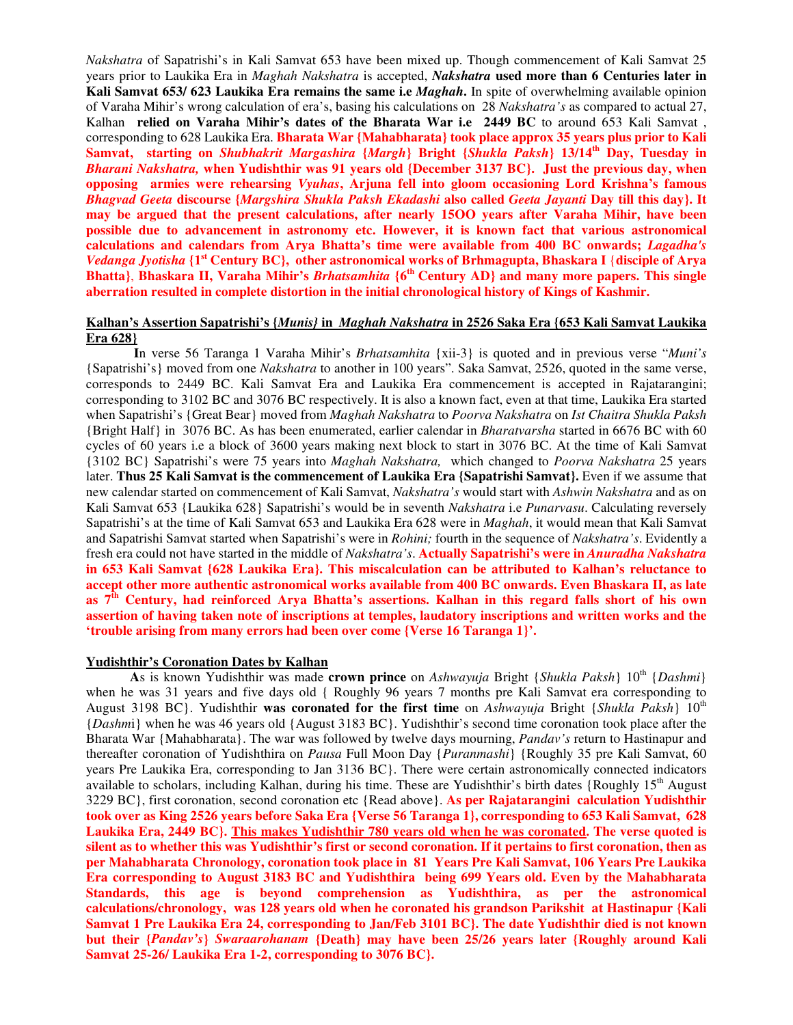*Nakshatra* of Sapatrishi's in Kali Samvat 653 have been mixed up. Though commencement of Kali Samvat 25 years prior to Laukika Era in *Maghah Nakshatra* is accepted, *Nakshatra* **used more than 6 Centuries later in Kali Samvat 653/ 623 Laukika Era remains the same i.e** *Maghah***.** In spite of overwhelming available opinion of Varaha Mihir's wrong calculation of era's, basing his calculations on 28 *Nakshatra's* as compared to actual 27, Kalhan **relied on Varaha Mihir's dates of the Bharata War i.e 2449 BC** to around 653 Kali Samvat , corresponding to 628 Laukika Era. **Bharata War {Mahabharata} took place approx 35 years plus prior to Kali Samvat, starting on** *Shubhakrit Margashira* **{***Margh***} Bright {***Shukla Paksh***} 13/14 th Day, Tuesday in** *Bharani Nakshatra,* **when Yudishthir was 91 years old {December 3137 BC}. Just the previous day, when opposing armies were rehearsing** *Vyuhas***, Arjuna fell into gloom occasioning Lord Krishna's famous** *Bhagvad Geeta* **discourse {***Margshira Shukla Paksh Ekadashi* **also called** *Geeta Jayanti* **Day till this day}. It may be argued that the present calculations, after nearly 15OO years after Varaha Mihir, have been possible due to advancement in astronomy etc. However, it is known fact that various astronomical calculations and calendars from Arya Bhatta's time were available from 400 BC onwards;** *Lagadha's Vedanga Jyotisha* **{1 st Century BC}, other astronomical works of Brhmagupta, Bhaskara I** {**disciple of Arya Bhatta}**, **Bhaskara II, Varaha Mihir's** *Brhatsamhita* **{6 th Century AD} and many more papers. This single aberration resulted in complete distortion in the initial chronological history of Kings of Kashmir.**

# **Kalhan's Assertion Sapatrishi's {***Munis}* **in** *Maghah Nakshatra* **in 2526 Saka Era {653 Kali Samvat Laukika Era 628}**

**I**n verse 56 Taranga 1 Varaha Mihir's *Brhatsamhita* {xii-3} is quoted and in previous verse "*Muni's* {Sapatrishi's} moved from one *Nakshatra* to another in 100 years". Saka Samvat, 2526, quoted in the same verse, corresponds to 2449 BC. Kali Samvat Era and Laukika Era commencement is accepted in Rajatarangini; corresponding to 3102 BC and 3076 BC respectively. It is also a known fact, even at that time, Laukika Era started when Sapatrishi's {Great Bear} moved from *Maghah Nakshatra* to *Poorva Nakshatra* on *Ist Chaitra Shukla Paksh* {Bright Half} in 3076 BC. As has been enumerated, earlier calendar in *Bharatvarsha* started in 6676 BC with 60 cycles of 60 years i.e a block of 3600 years making next block to start in 3076 BC. At the time of Kali Samvat {3102 BC} Sapatrishi's were 75 years into *Maghah Nakshatra,* which changed to *Poorva Nakshatra* 25 years later. **Thus 25 Kali Samvat is the commencement of Laukika Era {Sapatrishi Samvat}.** Even if we assume that new calendar started on commencement of Kali Samvat, *Nakshatra's* would start with *Ashwin Nakshatra* and as on Kali Samvat 653 {Laukika 628} Sapatrishi's would be in seventh *Nakshatra* i.e *Punarvasu*. Calculating reversely Sapatrishi's at the time of Kali Samvat 653 and Laukika Era 628 were in *Maghah*, it would mean that Kali Samvat and Sapatrishi Samvat started when Sapatrishi's were in *Rohini;* fourth in the sequence of *Nakshatra's*. Evidently a fresh era could not have started in the middle of *Nakshatra's*. **Actually Sapatrishi's were in** *Anuradha Nakshatra* **in 653 Kali Samvat {628 Laukika Era}. This miscalculation can be attributed to Kalhan's reluctance to accept other more authentic astronomical works available from 400 BC onwards. Even Bhaskara II, as late** as 7<sup>th</sup> Century, had reinforced Arya Bhatta's assertions. Kalhan in this regard falls short of his own **assertion of having taken note of inscriptions at temples, laudatory inscriptions and written works and the 'trouble arising from many errors had been over come {Verse 16 Taranga 1}'.**

# **Yudishthir's Coronation Dates by Kalhan**

**A**s is known Yudishthir was made **crown prince** on *Ashwayuja* Bright {*Shukla Paksh*} 10 th {*Dashmi*} when he was 31 years and five days old { Roughly 96 years 7 months pre Kali Samvat era corresponding to August 3198 BC}. Yudishthir **was coronated for the first time** on *Ashwayuja* Bright {*Shukla Paksh*} 10 th {*Dashm*i} when he was 46 years old {August 3183 BC}. Yudishthir's second time coronation took place after the Bharata War {Mahabharata}. The war was followed by twelve days mourning, *Pandav's* return to Hastinapur and thereafter coronation of Yudishthira on *Pausa* Full Moon Day {*Puranmashi*} {Roughly 35 pre Kali Samvat, 60 years Pre Laukika Era, corresponding to Jan 3136 BC}. There were certain astronomically connected indicators available to scholars, including Kalhan, during his time. These are Yudishthir's birth dates {Roughly 15<sup>th</sup> August 3229 BC}, first coronation, second coronation etc {Read above}. **As per Rajatarangini calculation Yudishthir** took over as King 2526 years before Saka Era {Verse 56 Taranga 1}, corresponding to 653 Kali Samvat, 628 Laukika Era, 2449 BC}. This makes Yudishthir 780 years old when he was coronated. The verse quoted is silent as to whether this was Yudishthir's first or second coronation. If it pertains to first coronation, then as **per Mahabharata Chronology, coronation took place in 81 Years Pre Kali Samvat, 106 Years Pre Laukika Era corresponding to August 3183 BC and Yudishthira being 699 Years old. Even by the Mahabharata Standards, this age is beyond comprehension as Yudishthira, as per the astronomical calculations/chronology, was 128 years old when he coronated his grandson Parikshit at Hastinapur {Kali** Samvat 1 Pre Laukika Era 24, corresponding to Jan/Feb 3101 BC}. The date Yudishthir died is not known **but their {***Pandav's***}** *Swaraarohanam* **{Death} may have been 25/26 years later {Roughly around Kali Samvat 25-26/ Laukika Era 1-2, corresponding to 3076 BC}.**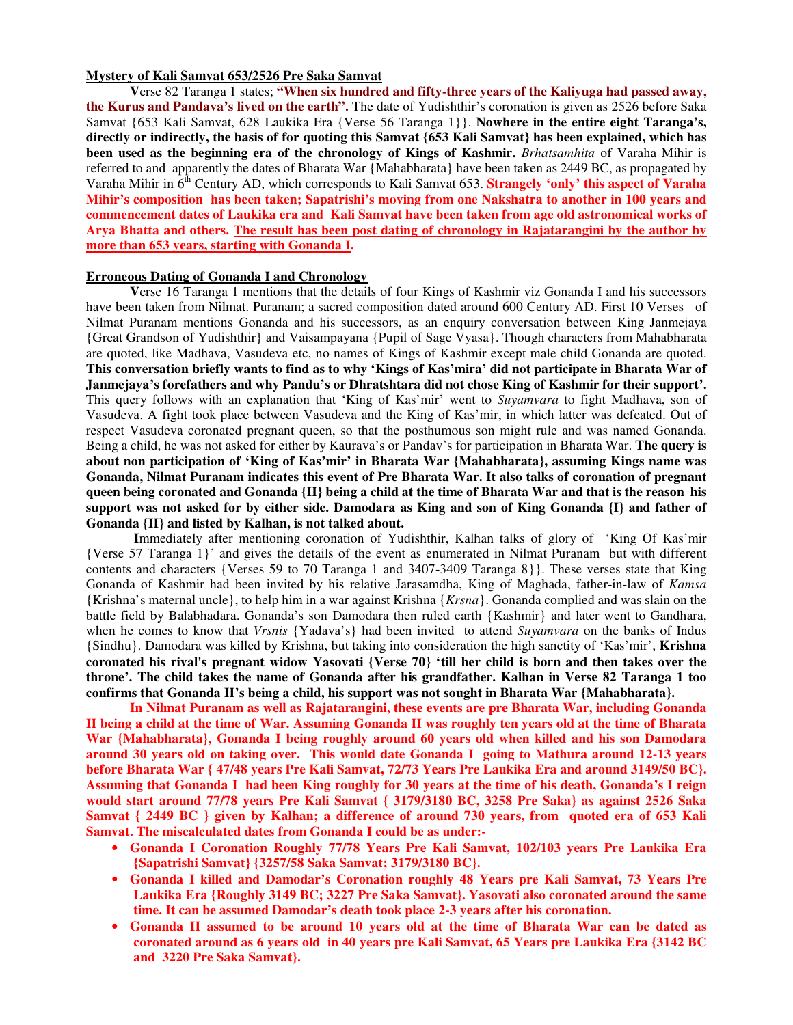### **Mystery of Kali Samvat 653/2526 Pre Saka Samvat**

**V**erse 82 Taranga 1 states; **"When six hundred and fifty-three years of the Kaliyuga had passed away, the Kurus and Pandava's lived on the earth".** The date of Yudishthir's coronation is given as 2526 before Saka Samvat {653 Kali Samvat, 628 Laukika Era {Verse 56 Taranga 1}}. **Nowhere in the entire eight Taranga's,** directly or indirectly, the basis of for quoting this Samvat {653 Kali Samvat} has been explained, which has **been used as the beginning era of the chronology of Kings of Kashmir.** *Brhatsamhita* of Varaha Mihir is referred to and apparently the dates of Bharata War {Mahabharata} have been taken as 2449 BC, as propagated by Varaha Mihir in 6 th Century AD, which corresponds to Kali Samvat 653. **Strangely 'only' this aspect of Varaha Mihir's composition has been taken; Sapatrishi's moving from one Nakshatra to another in 100 years and commencement dates of Laukika era and Kali Samvat have been taken from age old astronomical works of** Arya Bhatta and others. The result has been post dating of chronology in Rajatarangini by the author by **more than 653 years, starting with Gonanda I.**

# **Erroneous Dating of Gonanda I and Chronology**

**V**erse 16 Taranga 1 mentions that the details of four Kings of Kashmir viz Gonanda I and his successors have been taken from Nilmat. Puranam; a sacred composition dated around 600 Century AD. First 10 Verses of Nilmat Puranam mentions Gonanda and his successors, as an enquiry conversation between King Janmejaya {Great Grandson of Yudishthir} and Vaisampayana {Pupil of Sage Vyasa}. Though characters from Mahabharata are quoted, like Madhava, Vasudeva etc, no names of Kings of Kashmir except male child Gonanda are quoted. This conversation briefly wants to find as to why 'Kings of Kas'mira' did not participate in Bharata War of **Janmejaya's forefathers and why Pandu's or Dhratshtara did not chose King of Kashmir for their support'.** This query follows with an explanation that 'King of Kas'mir' went to *Suyamvara* to fight Madhava, son of Vasudeva. A fight took place between Vasudeva and the King of Kas'mir, in which latter was defeated. Out of respect Vasudeva coronated pregnant queen, so that the posthumous son might rule and was named Gonanda. Being a child, he was not asked for either by Kaurava's or Pandav's for participation in Bharata War. **The query is about non participation of 'King of Kas'mir' in Bharata War {Mahabharata}, assuming Kings name was Gonanda, Nilmat Puranam indicates this event of Pre Bharata War. It also talks of coronation of pregnant** queen being coronated and Gonanda {II} being a child at the time of Bharata War and that is the reason his support was not asked for by either side. Damodara as King and son of King Gonanda {I} and father of **Gonanda {II} and listed by Kalhan, is not talked about.**

**I**mmediately after mentioning coronation of Yudishthir, Kalhan talks of glory of 'King Of Kas'mir {Verse 57 Taranga 1}' and gives the details of the event as enumerated in Nilmat Puranam but with different contents and characters {Verses 59 to 70 Taranga 1 and 3407-3409 Taranga 8}}. These verses state that King Gonanda of Kashmir had been invited by his relative Jarasamdha, King of Maghada, father-in-law of *Kamsa* {Krishna's maternal uncle}, to help him in a war against Krishna {*Krsna*}. Gonanda complied and was slain on the battle field by Balabhadara. Gonanda's son Damodara then ruled earth {Kashmir} and later went to Gandhara, when he comes to know that *Vrsnis* {Yadava's} had been invited to attend *Suyamvara* on the banks of Indus {Sindhu}. Damodara was killed by Krishna, but taking into consideration the high sanctity of 'Kas'mir', **Krishna** coronated his rival's pregnant widow Yasovati {Verse 70} 'till her child is born and then takes over the throne'. The child takes the name of Gonanda after his grandfather. Kalhan in Verse 82 Taranga 1 too **confirms that Gonanda II's being a child, his support was not sought in Bharata War {Mahabharata}.**

**In Nilmat Puranam as well as Rajatarangini, these events are pre Bharata War, including Gonanda** II being a child at the time of War. Assuming Gonanda II was roughly ten years old at the time of Bharata **War {Mahabharata}, Gonanda I being roughly around 60 years old when killed and his son Damodara around 30 years old on taking over. This would date Gonanda I going to Mathura around 12-13 years** before Bharata War { 47/48 years Pre Kali Samvat, 72/73 Years Pre Laukika Era and around 3149/50 BC}. Assuming that Gonanda I had been King roughly for 30 years at the time of his death, Gonanda's I reign **would start around 77/78 years Pre Kali Samvat { 3179/3180 BC, 3258 Pre Saka} as against 2526 Saka** Samvat { 2449 BC } given by Kalhan; a difference of around 730 years, from quoted era of 653 Kali **Samvat. The miscalculated dates from Gonanda I could be as under:-**

- **Gonanda I Coronation Roughly 77/78 Years Pre Kali Samvat, 102/103 years Pre Laukika Era {Sapatrishi Samvat} {3257/58 Saka Samvat; 3179/3180 BC}.**
- **Gonanda I killed and Damodar's Coronation roughly 48 Years pre Kali Samvat, 73 Years Pre Laukika Era {Roughly 3149 BC; 3227 Pre Saka Samvat}. Yasovati also coronated around the same time. It can be assumed Damodar's death took place 2-3 years after his coronation.**
- **Gonanda II assumed to be around 10 years old at the time of Bharata War can be dated as** coronated around as 6 years old in 40 years pre Kali Samvat, 65 Years pre Laukika Era {3142 BC **and 3220 Pre Saka Samvat}.**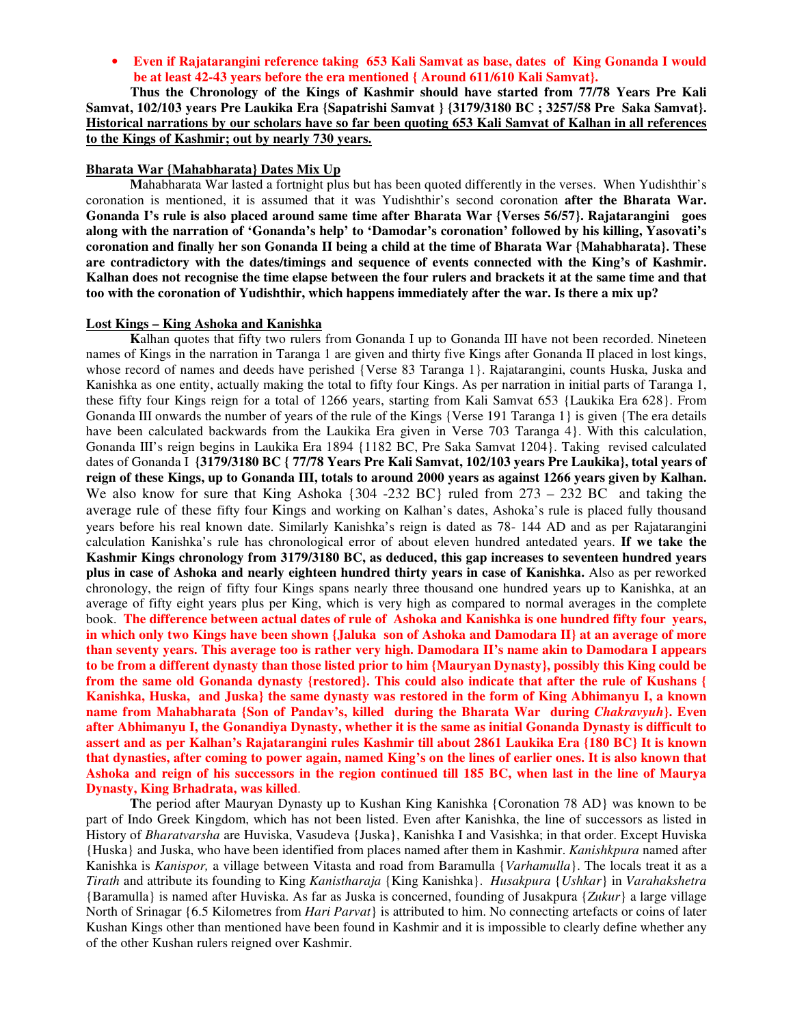• **Even if Rajatarangini reference taking 653 Kali Samvat as base, dates of King Gonanda I would be at least 42-43 years before the era mentioned { Around 611/610 Kali Samvat}.**

**Thus the Chronology of the Kings of Kashmir should have started from 77/78 Years Pre Kali Samvat, 102/103 years Pre Laukika Era {Sapatrishi Samvat } {3179/3180 BC ; 3257/58 Pre Saka Samvat}.** Historical narrations by our scholars have so far been quoting 653 Kali Samvat of Kalhan in all references **to the Kings of Kashmir; out by nearly 730 years.**

# **Bharata War {Mahabharata} Dates Mix Up**

**M**ahabharata War lasted a fortnight plus but has been quoted differently in the verses. When Yudishthir's coronation is mentioned, it is assumed that it was Yudishthir's second coronation **after the Bharata War. Gonanda I's rule is also placed around same time after Bharata War {Verses 56/57}. Rajatarangini goes along with the narration of 'Gonanda's help' to 'Damodar's coronation' followed by his killing, Yasovati's** coronation and finally her son Gonanda II being a child at the time of Bharata War {Mahabharata}. These **are contradictory with the dates/timings and sequence of events connected with the King's of Kashmir.** Kalhan does not recognise the time elapse between the four rulers and brackets it at the same time and that **too with the coronation of Yudishthir, which happens immediately after the war. Is there a mix up?**

# **Lost Kings – King Ashoka and Kanishka**

**K**alhan quotes that fifty two rulers from Gonanda I up to Gonanda III have not been recorded. Nineteen names of Kings in the narration in Taranga 1 are given and thirty five Kings after Gonanda II placed in lost kings, whose record of names and deeds have perished {Verse 83 Taranga 1}. Rajatarangini, counts Huska, Juska and Kanishka as one entity, actually making the total to fifty four Kings. As per narration in initial parts of Taranga 1, these fifty four Kings reign for a total of 1266 years, starting from Kali Samvat 653 {Laukika Era 628}. From Gonanda III onwards the number of years of the rule of the Kings {Verse 191 Taranga 1} is given {The era details have been calculated backwards from the Laukika Era given in Verse 703 Taranga 4}. With this calculation, Gonanda III's reign begins in Laukika Era 1894 {1182 BC, Pre Saka Samvat 1204}. Taking revised calculated dates of Gonanda I **{3179/3180 BC { 77/78 Years Pre Kali Samvat, 102/103 years Pre Laukika}, total years of** reign of these Kings, up to Gonanda III, totals to around 2000 years as against 1266 years given by Kalhan. We also know for sure that King Ashoka  $\{304 - 232 \text{ BC}\}\$  ruled from  $273 - 232 \text{ BC}$  and taking the average rule of these fifty four Kings and working on Kalhan's dates, Ashoka's rule is placed fully thousand years before his real known date. Similarly Kanishka's reign is dated as 78- 144 AD and as per Rajatarangini calculation Kanishka's rule has chronological error of about eleven hundred antedated years. **If we take the Kashmir Kings chronology from 3179/3180 BC, as deduced, this gap increases to seventeen hundred years plus in case of Ashoka and nearly eighteen hundred thirty years in case of Kanishka.** Also as per reworked chronology, the reign of fifty four Kings spans nearly three thousand one hundred years up to Kanishka, at an average of fifty eight years plus per King, which is very high as compared to normal averages in the complete book. **The difference between actual dates of rule of Ashoka and Kanishka is one hundred fifty four years,** in which only two Kings have been shown {Jaluka son of Ashoka and Damodara  $\text{II}$ } at an average of more than seventy years. This average too is rather very high. Damodara II's name akin to Damodara I appears to be from a different dynasty than those listed prior to him {Mauryan Dynasty}, possibly this King could be from the same old Gonanda dynasty {restored}. This could also indicate that after the rule of Kushans { **Kanishka, Huska, and Juska} the same dynasty was restored in the form of King Abhimanyu I, a known name from Mahabharata {Son of Pandav's, killed during the Bharata War during** *Chakravyuh***}. Even** after Abhimanyu I, the Gonandiya Dynasty, whether it is the same as initial Gonanda Dynasty is difficult to assert and as per Kalhan's Rajatarangini rules Kashmir till about 2861 Laukika Era {180 BC} It is known that dynasties, after coming to power again, named King's on the lines of earlier ones. It is also known that Ashoka and reign of his successors in the region continued till 185 BC, when last in the line of Maurya **Dynasty, King Brhadrata, was killed**.

**T**he period after Mauryan Dynasty up to Kushan King Kanishka {Coronation 78 AD} was known to be part of Indo Greek Kingdom, which has not been listed. Even after Kanishka, the line of successors as listed in History of *Bharatvarsha* are Huviska, Vasudeva {Juska}, Kanishka I and Vasishka; in that order. Except Huviska {Huska} and Juska, who have been identified from places named after them in Kashmir. *Kanishkpura* named after Kanishka is *Kanispor,* a village between Vitasta and road from Baramulla {*Varhamulla*}. The locals treat it as a *Tirath* and attribute its founding to King *Kanistharaja* {King Kanishka}. *Husakpura* {*Ushkar*} in *Varahakshetra* {Baramulla} is named after Huviska. As far as Juska is concerned, founding of Jusakpura {*Zukur*} a large village North of Srinagar {6.5 Kilometres from *Hari Parvat*} is attributed to him. No connecting artefacts or coins of later Kushan Kings other than mentioned have been found in Kashmir and it is impossible to clearly define whether any of the other Kushan rulers reigned over Kashmir.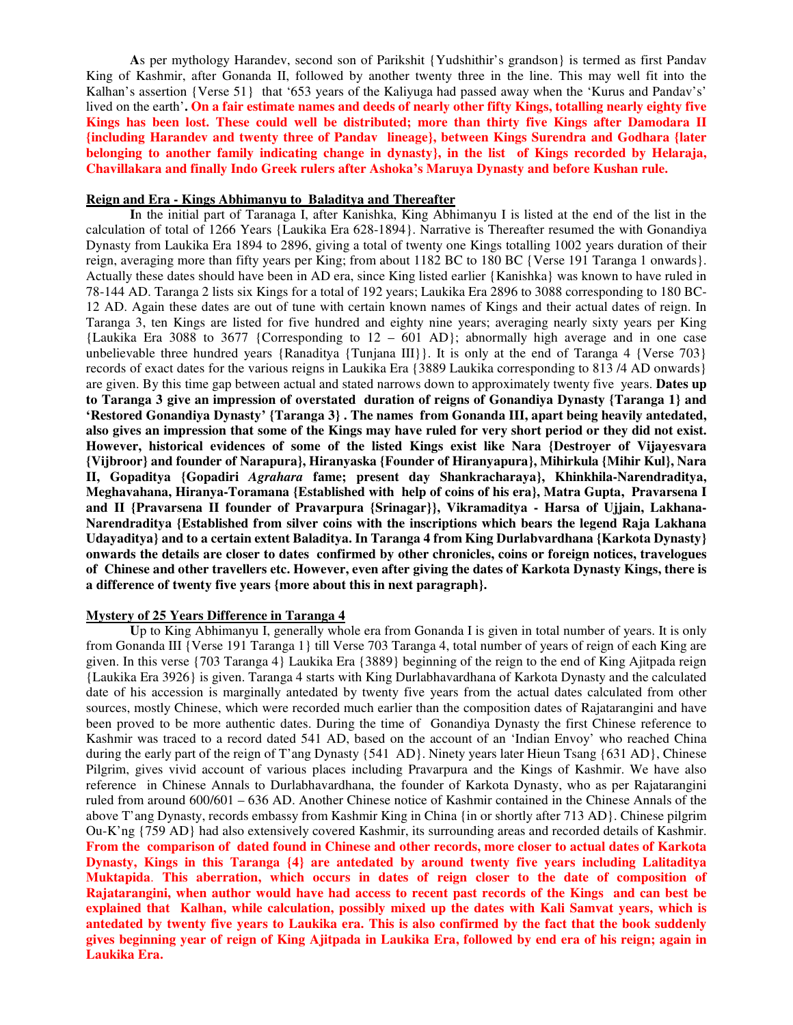**A**s per mythology Harandev, second son of Parikshit {Yudshithir's grandson} is termed as first Pandav King of Kashmir, after Gonanda II, followed by another twenty three in the line. This may well fit into the Kalhan's assertion {Verse 51} that '653 years of the Kaliyuga had passed away when the 'Kurus and Pandav's' lived on the earth'. On a fair estimate names and deeds of nearly other fifty Kings, totalling nearly eighty five **Kings has been lost. These could well be distributed; more than thirty five Kings after Damodara II {including Harandev and twenty three of Pandav lineage}, between Kings Surendra and Godhara {later belonging to another family indicating change in dynasty}, in the list of Kings recorded by Helaraja, Chavillakara and finally Indo Greek rulers after Ashoka's Maruya Dynasty and before Kushan rule.**

#### **Reign and Era - Kings Abhimanyu to Baladitya and Thereafter**

**I**n the initial part of Taranaga I, after Kanishka, King Abhimanyu I is listed at the end of the list in the calculation of total of 1266 Years {Laukika Era 628-1894}. Narrative is Thereafter resumed the with Gonandiya Dynasty from Laukika Era 1894 to 2896, giving a total of twenty one Kings totalling 1002 years duration of their reign, averaging more than fifty years per King; from about 1182 BC to 180 BC {Verse 191 Taranga 1 onwards}. Actually these dates should have been in AD era, since King listed earlier {Kanishka} was known to have ruled in 78-144 AD. Taranga 2 lists six Kings for a total of 192 years; Laukika Era 2896 to 3088 corresponding to 180 BC-12 AD. Again these dates are out of tune with certain known names of Kings and their actual dates of reign. In Taranga 3, ten Kings are listed for five hundred and eighty nine years; averaging nearly sixty years per King {Laukika Era 3088 to 3677 {Corresponding to 12 – 601 AD}; abnormally high average and in one case unbelievable three hundred years  ${Ranaditya$   ${Tunjana III}}$ . It is only at the end of Taranga 4  ${Verse 703}$ records of exact dates for the various reigns in Laukika Era {3889 Laukika corresponding to 813 /4 AD onwards} are given. By this time gap between actual and stated narrows down to approximately twenty five years. **Dates up to Taranga 3 give an impression of overstated duration of reigns of Gonandiya Dynasty {Taranga 1} and 'Restored Gonandiya Dynasty' {Taranga 3} . The names from Gonanda III, apart being heavily antedated,** also gives an impression that some of the Kings may have ruled for very short period or they did not exist. **However, historical evidences of some of the listed Kings exist like Nara {Destroyer of Vijayesvara {Vijbroor} and founder of Narapura}, Hiranyaska {Founder of Hiranyapura}, Mihirkula {Mihir Kul}, Nara II, Gopaditya {Gopadiri** *Agrahara* **fame; present day Shankracharaya}, Khinkhila-Narendraditya, Meghavahana, Hiranya-Toramana {Established with help of coins of his era}, Matra Gupta, Pravarsena I and II {Pravarsena II founder of Pravarpura {Srinagar}}, Vikramaditya - Harsa of Ujjain, Lakhana-Narendraditya {Established from silver coins with the inscriptions which bears the legend Raja Lakhana Udayaditya} and to a certain extent Baladitya. In Taranga 4 from King Durlabvardhana {Karkota Dynasty} onwards the details are closer to dates confirmed by other chronicles, coins or foreign notices, travelogues** of Chinese and other travellers etc. However, even after giving the dates of Karkota Dynasty Kings, there is **a difference of twenty five years {more about this in next paragraph}.**

# **Mystery of 25 Years Difference in Taranga 4**

**U**p to King Abhimanyu I, generally whole era from Gonanda I is given in total number of years. It is only from Gonanda III {Verse 191 Taranga 1} till Verse 703 Taranga 4, total number of years of reign of each King are given. In this verse {703 Taranga 4} Laukika Era {3889} beginning of the reign to the end of King Ajitpada reign {Laukika Era 3926} is given. Taranga 4 starts with King Durlabhavardhana of Karkota Dynasty and the calculated date of his accession is marginally antedated by twenty five years from the actual dates calculated from other sources, mostly Chinese, which were recorded much earlier than the composition dates of Rajatarangini and have been proved to be more authentic dates. During the time of Gonandiya Dynasty the first Chinese reference to Kashmir was traced to a record dated 541 AD, based on the account of an 'Indian Envoy' who reached China during the early part of the reign of T'ang Dynasty {541 AD}. Ninety years later Hieun Tsang {631 AD}, Chinese Pilgrim, gives vivid account of various places including Pravarpura and the Kings of Kashmir. We have also reference in Chinese Annals to Durlabhavardhana, the founder of Karkota Dynasty, who as per Rajatarangini ruled from around 600/601 – 636 AD. Another Chinese notice of Kashmir contained in the Chinese Annals of the above T'ang Dynasty, records embassy from Kashmir King in China {in or shortly after 713 AD}. Chinese pilgrim Ou-K'ng {759 AD} had also extensively covered Kashmir, its surrounding areas and recorded details of Kashmir. From the comparison of dated found in Chinese and other records, more closer to actual dates of Karkota **Dynasty, Kings in this Taranga {4} are antedated by around twenty five years including Lalitaditya Muktapida**. **This aberration, which occurs in dates of reign closer to the date of composition of** Rajatarangini, when author would have had access to recent past records of the Kings and can best be **explained that Kalhan, while calculation, possibly mixed up the dates with Kali Samvat years, which is** antedated by twenty five years to Laukika era. This is also confirmed by the fact that the book suddenly gives beginning year of reign of King Ajitpada in Laukika Era, followed by end era of his reign; again in **Laukika Era.**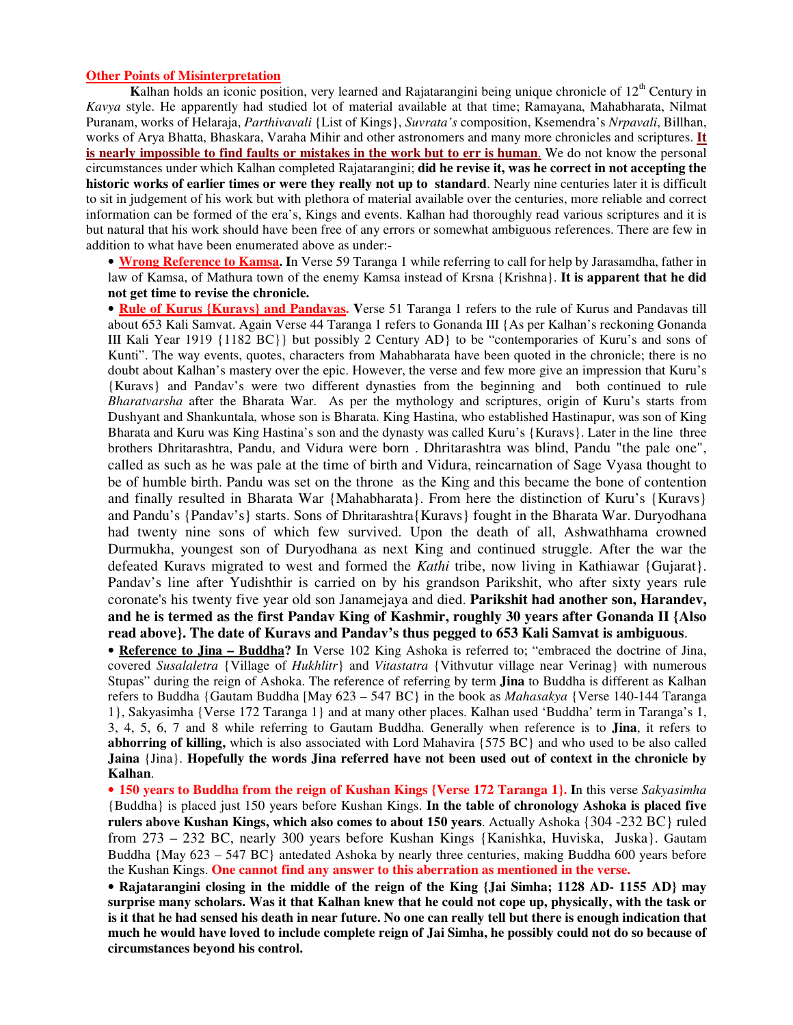### **Other Points of Misinterpretation**

Kalhan holds an iconic position, very learned and Rajatarangini being unique chronicle of 12<sup>th</sup> Century in *Kavya* style. He apparently had studied lot of material available at that time; Ramayana, Mahabharata, Nilmat Puranam, works of Helaraja, *Parthivavali* {List of Kings}, *Suvrata's* composition, Ksemendra's *Nrpavali*, Billhan, works of Arya Bhatta, Bhaskara, Varaha Mihir and other astronomers and many more chronicles and scriptures. **It is nearly impossible to find faults or mistakes in the work but to err is human**. We do not know the personal circumstances under which Kalhan completed Rajatarangini; **did he revise it, was he correct in not accepting the historic works of earlier times or were they really not up to standard**. Nearly nine centuries later it is difficult to sit in judgement of his work but with plethora of material available over the centuries, more reliable and correct information can be formed of the era's, Kings and events. Kalhan had thoroughly read various scriptures and it is but natural that his work should have been free of any errors or somewhat ambiguous references. There are few in addition to what have been enumerated above as under:-

• **Wrong Reference to Kamsa. I**n Verse 59 Taranga 1 while referring to call for help by Jarasamdha, father in law of Kamsa, of Mathura town of the enemy Kamsa instead of Krsna {Krishna}. **It is apparent that he did not get time to revise the chronicle.**

• **Rule of Kurus {Kuravs} and Pandavas. V**erse 51 Taranga 1 refers to the rule of Kurus and Pandavas till about 653 Kali Samvat. Again Verse 44 Taranga 1 refers to Gonanda III {As per Kalhan's reckoning Gonanda III Kali Year 1919 {1182 BC}} but possibly 2 Century AD} to be "contemporaries of Kuru's and sons of Kunti". The way events, quotes, characters from Mahabharata have been quoted in the chronicle; there is no doubt about Kalhan's mastery over the epic. However, the verse and few more give an impression that Kuru's {Kuravs} and Pandav's were two different dynasties from the beginning and both continued to rule *Bharatvarsha* after the Bharata War. As per the mythology and scriptures, origin of Kuru's starts from Dushyant and Shankuntala, whose son is Bharata. King Hastina, who established Hastinapur, was son of King Bharata and Kuru was King Hastina's son and the dynasty was called Kuru's {Kuravs}. Later in the line three brothers Dhritarashtra, Pandu, and Vidura were born . Dhritarashtra was blind, Pandu "the pale one", called as such as he was pale at the time of birth and Vidura, reincarnation of Sage Vyasa thought to be of humble birth. Pandu was set on the throne as the King and this became the bone of contention and finally resulted in Bharata War {Mahabharata}. From here the distinction of Kuru's {Kuravs} and Pandu's {Pandav's} starts. Sons of Dhritarashtra{Kuravs} fought in the Bharata War. Duryodhana had twenty nine sons of which few survived. Upon the death of all, Ashwathhama crowned Durmukha, youngest son of Duryodhana as next King and continued struggle. After the war the defeated Kuravs migrated to west and formed the *Kathi* tribe, now living in Kathiawar {Gujarat}. Pandav's line after Yudishthir is carried on by his grandson Parikshit, who after sixty years rule coronate's his twenty five year old son Janamejaya and died. **Parikshit had another son, Harandev, and he is termed as the first Pandav King of Kashmir, roughly 30 years after Gonanda II {Also read above}. The date of Kuravs and Pandav's thus pegged to 653 Kali Samvat is ambiguous**.

• **Reference to Jina – Buddha? I**n Verse 102 King Ashoka is referred to; "embraced the doctrine of Jina, covered *Susalaletra* {Village of *Hukhlitr*} and *Vitastatra* {Vithvutur village near Verinag} with numerous Stupas" during the reign of Ashoka. The reference of referring by term **Jina** to Buddha is different as Kalhan refers to Buddha {Gautam Buddha [May 623 – 547 BC} in the book as *Mahasakya* {Verse 140-144 Taranga 1}, Sakyasimha {Verse 172 Taranga 1} and at many other places. Kalhan used 'Buddha' term in Taranga's 1, 3, 4, 5, 6, 7 and 8 while referring to Gautam Buddha. Generally when reference is to **Jina**, it refers to **abhorring of killing,** which is also associated with Lord Mahavira {575 BC} and who used to be also called **Jaina** {Jina}. **Hopefully the words Jina referred have not been used out of context in the chronicle by Kalhan**.

• **150 years to Buddha from the reign of Kushan Kings {Verse 172 Taranga 1}. I**n this verse *Sakyasimha* {Buddha} is placed just 150 years before Kushan Kings. **In the table of chronology Ashoka is placed five rulers above Kushan Kings, which also comes to about 150 years**. Actually Ashoka {304 -232 BC} ruled from 273 – 232 BC, nearly 300 years before Kushan Kings {Kanishka, Huviska, Juska}. Gautam Buddha {May 623 – 547 BC} antedated Ashoka by nearly three centuries, making Buddha 600 years before the Kushan Kings. **One cannot find any answer to this aberration as mentioned in the verse.**

• **Rajatarangini closing in the middle of the reign of the King {Jai Simha; 1128 AD- 1155 AD} may** surprise many scholars. Was it that Kalhan knew that he could not cope up, physically, with the task or is it that he had sensed his death in near future. No one can really tell but there is enough indication that much he would have loved to include complete reign of Jai Simha, he possibly could not do so because of **circumstances beyond his control.**